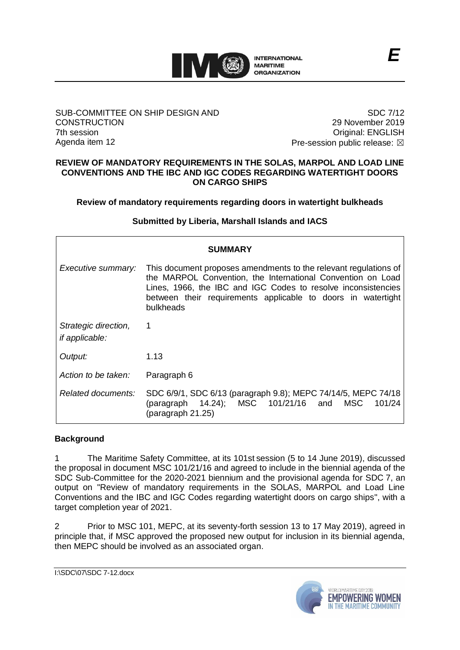

### SUB-COMMITTEE ON SHIP DESIGN AND **CONSTRUCTION** 7th session Agenda item 12

SDC 7/12 29 November 2019 Original: ENGLISH Pre-session public release:  $\boxtimes$ 

#### **REVIEW OF MANDATORY REQUIREMENTS IN THE SOLAS, MARPOL AND LOAD LINE CONVENTIONS AND THE IBC AND IGC CODES REGARDING WATERTIGHT DOORS ON CARGO SHIPS**

**Review of mandatory requirements regarding doors in watertight bulkheads**

**Submitted by Liberia, Marshall Islands and IACS**

| <b>SUMMARY</b>                                |                                                                                                                                                                                                                                                                               |
|-----------------------------------------------|-------------------------------------------------------------------------------------------------------------------------------------------------------------------------------------------------------------------------------------------------------------------------------|
| Executive summary:                            | This document proposes amendments to the relevant regulations of<br>the MARPOL Convention, the International Convention on Load<br>Lines, 1966, the IBC and IGC Codes to resolve inconsistencies<br>between their requirements applicable to doors in watertight<br>bulkheads |
| Strategic direction,<br><i>if applicable:</i> | 1                                                                                                                                                                                                                                                                             |
| Output:                                       | 1.13                                                                                                                                                                                                                                                                          |
| Action to be taken:                           | Paragraph 6                                                                                                                                                                                                                                                                   |
| Related documents:                            | SDC 6/9/1, SDC 6/13 (paragraph 9.8); MEPC 74/14/5, MEPC 74/18<br>(paragraph 14.24); MSC 101/21/16 and<br>MSC<br>101/24<br>(paragraph 21.25)                                                                                                                                   |

## **Background**

1 The Maritime Safety Committee, at its 101st session (5 to 14 June 2019), discussed the proposal in document MSC 101/21/16 and agreed to include in the biennial agenda of the SDC Sub-Committee for the 2020-2021 biennium and the provisional agenda for SDC 7, an output on "Review of mandatory requirements in the SOLAS, MARPOL and Load Line Conventions and the IBC and IGC Codes regarding watertight doors on cargo ships", with a target completion year of 2021.

2 Prior to MSC 101, MEPC, at its seventy-forth session 13 to 17 May 2019), agreed in principle that, if MSC approved the proposed new output for inclusion in its biennial agenda, then MEPC should be involved as an associated organ.

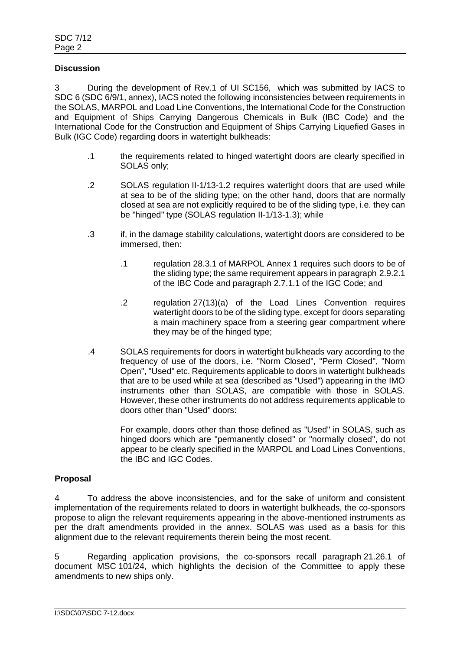### **Discussion**

3 During the development of Rev.1 of UI SC156, which was submitted by IACS to SDC 6 (SDC 6/9/1, annex), IACS noted the following inconsistencies between requirements in the SOLAS, MARPOL and Load Line Conventions, the International Code for the Construction and Equipment of Ships Carrying Dangerous Chemicals in Bulk (IBC Code) and the International Code for the Construction and Equipment of Ships Carrying Liquefied Gases in Bulk (IGC Code) regarding doors in watertight bulkheads:

- .1 the requirements related to hinged watertight doors are clearly specified in SOLAS only;
- .2 SOLAS regulation II-1/13-1.2 requires watertight doors that are used while at sea to be of the sliding type; on the other hand, doors that are normally closed at sea are not explicitly required to be of the sliding type, i.e. they can be "hinged" type (SOLAS regulation II-1/13-1.3); while
- .3 if, in the damage stability calculations, watertight doors are considered to be immersed, then:
	- .1 regulation 28.3.1 of MARPOL Annex 1 requires such doors to be of the sliding type; the same requirement appears in paragraph 2.9.2.1 of the IBC Code and paragraph 2.7.1.1 of the IGC Code; and
	- .2 regulation 27(13)(a) of the Load Lines Convention requires watertight doors to be of the sliding type, except for doors separating a main machinery space from a steering gear compartment where they may be of the hinged type;
- .4 SOLAS requirements for doors in watertight bulkheads vary according to the frequency of use of the doors, i.e. "Norm Closed", "Perm Closed", "Norm Open", "Used" etc. Requirements applicable to doors in watertight bulkheads that are to be used while at sea (described as "Used") appearing in the IMO instruments other than SOLAS, are compatible with those in SOLAS. However, these other instruments do not address requirements applicable to doors other than "Used" doors:

For example, doors other than those defined as "Used" in SOLAS, such as hinged doors which are "permanently closed" or "normally closed", do not appear to be clearly specified in the MARPOL and Load Lines Conventions, the IBC and IGC Codes.

## **Proposal**

4 To address the above inconsistencies, and for the sake of uniform and consistent implementation of the requirements related to doors in watertight bulkheads, the co-sponsors propose to align the relevant requirements appearing in the above-mentioned instruments as per the draft amendments provided in the annex. SOLAS was used as a basis for this alignment due to the relevant requirements therein being the most recent.

5 Regarding application provisions, the co-sponsors recall paragraph 21.26.1 of document MSC 101/24, which highlights the decision of the Committee to apply these amendments to new ships only.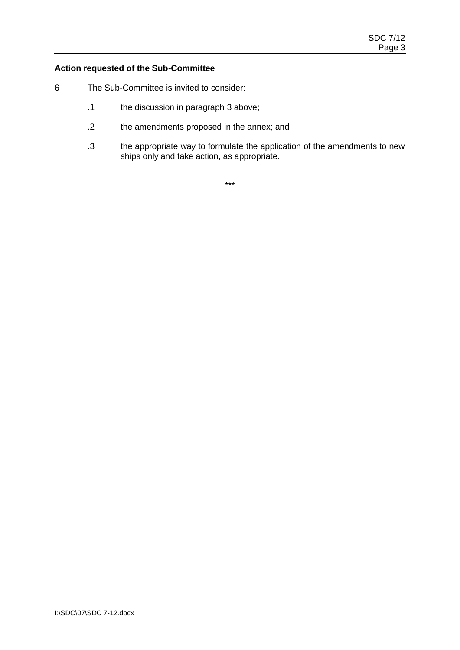## **Action requested of the Sub-Committee**

- 6 The Sub-Committee is invited to consider:
	- .1 the discussion in paragraph 3 above;
	- .2 the amendments proposed in the annex; and
	- .3 the appropriate way to formulate the application of the amendments to new ships only and take action, as appropriate.

\*\*\*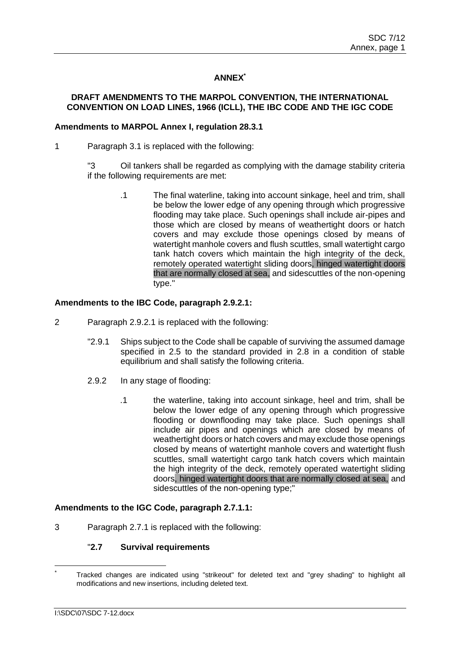# **ANNEX\***

## **DRAFT AMENDMENTS TO THE MARPOL CONVENTION, THE INTERNATIONAL CONVENTION ON LOAD LINES, 1966 (ICLL), THE IBC CODE AND THE IGC CODE**

### **Amendments to MARPOL Annex I, regulation 28.3.1**

- 1 Paragraph 3.1 is replaced with the following:
	- "3 Oil tankers shall be regarded as complying with the damage stability criteria if the following requirements are met:
		- .1 The final waterline, taking into account sinkage, heel and trim, shall be below the lower edge of any opening through which progressive flooding may take place. Such openings shall include air-pipes and those which are closed by means of weathertight doors or hatch covers and may exclude those openings closed by means of watertight manhole covers and flush scuttles, small watertight cargo tank hatch covers which maintain the high integrity of the deck, remotely operated watertight sliding doors, hinged watertight doors that are normally closed at sea, and sidescuttles of the non-opening type."

### **Amendments to the IBC Code, paragraph 2.9.2.1:**

- 2 Paragraph 2.9.2.1 is replaced with the following:
	- "2.9.1 Ships subject to the Code shall be capable of surviving the assumed damage specified in 2.5 to the standard provided in 2.8 in a condition of stable equilibrium and shall satisfy the following criteria.
	- 2.9.2 In any stage of flooding:
		- .1 the waterline, taking into account sinkage, heel and trim, shall be below the lower edge of any opening through which progressive flooding or downflooding may take place. Such openings shall include air pipes and openings which are closed by means of weathertight doors or hatch covers and may exclude those openings closed by means of watertight manhole covers and watertight flush scuttles, small watertight cargo tank hatch covers which maintain the high integrity of the deck, remotely operated watertight sliding doors, hinged watertight doors that are normally closed at sea, and sidescuttles of the non-opening type;"

#### **Amendments to the IGC Code, paragraph 2.7.1.1:**

3 Paragraph 2.7.1 is replaced with the following:

# "**2.7 Survival requirements**

Tracked changes are indicated using "strikeout" for deleted text and "grey shading" to highlight all modifications and new insertions, including deleted text.